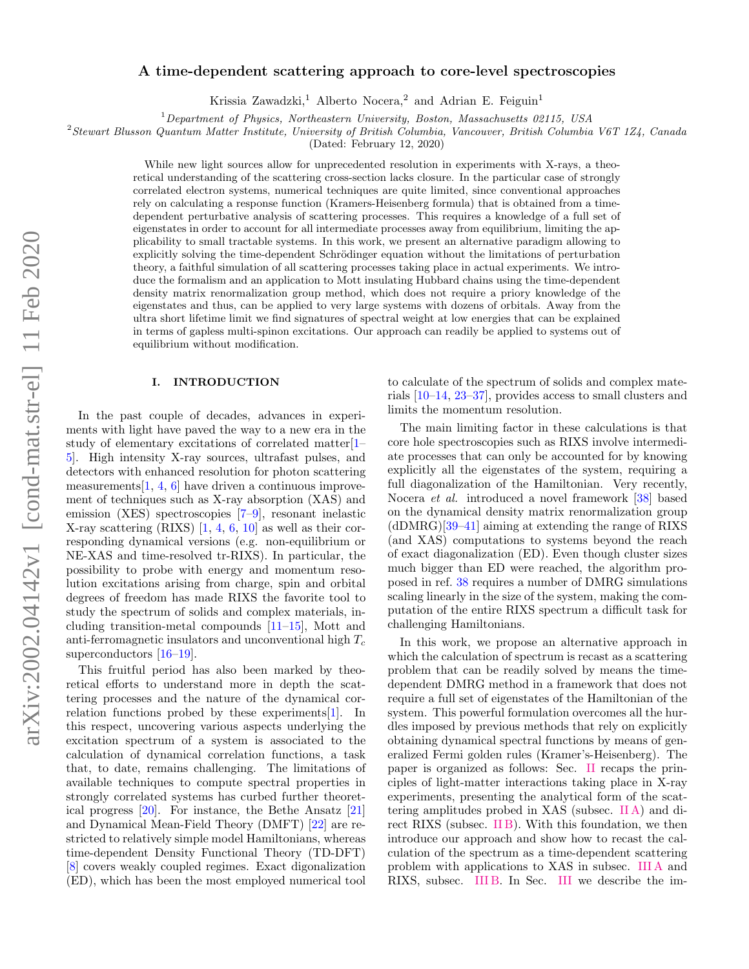# arXiv:2002.04142v1 [cond-mat.str-el] 11 Feb 2020 arXiv:2002.04142v1 [cond-mat.str-el] 11 Feb 2020

# A time-dependent scattering approach to core-level spectroscopies

Krissia Zawadzki,<sup>1</sup> Alberto Nocera,<sup>2</sup> and Adrian E. Feiguin<sup>1</sup>

<sup>1</sup>Department of Physics, Northeastern University, Boston, Massachusetts 02115, USA

<sup>2</sup>Stewart Blusson Quantum Matter Institute, University of British Columbia, Vancouver, British Columbia V6T 1Z4, Canada

(Dated: February 12, 2020)

While new light sources allow for unprecedented resolution in experiments with X-rays, a theoretical understanding of the scattering cross-section lacks closure. In the particular case of strongly correlated electron systems, numerical techniques are quite limited, since conventional approaches rely on calculating a response function (Kramers-Heisenberg formula) that is obtained from a timedependent perturbative analysis of scattering processes. This requires a knowledge of a full set of eigenstates in order to account for all intermediate processes away from equilibrium, limiting the applicability to small tractable systems. In this work, we present an alternative paradigm allowing to explicitly solving the time-dependent Schrödinger equation without the limitations of perturbation theory, a faithful simulation of all scattering processes taking place in actual experiments. We introduce the formalism and an application to Mott insulating Hubbard chains using the time-dependent density matrix renormalization group method, which does not require a priory knowledge of the eigenstates and thus, can be applied to very large systems with dozens of orbitals. Away from the ultra short lifetime limit we find signatures of spectral weight at low energies that can be explained in terms of gapless multi-spinon excitations. Our approach can readily be applied to systems out of equilibrium without modification.

# I. INTRODUCTION

In the past couple of decades, advances in experiments with light have paved the way to a new era in the study of elementary excitations of correlated matter[\[1–](#page-8-0) [5\]](#page-8-1). High intensity X-ray sources, ultrafast pulses, and detectors with enhanced resolution for photon scattering measurements  $[1, 4, 6]$  $[1, 4, 6]$  $[1, 4, 6]$  $[1, 4, 6]$  $[1, 4, 6]$  have driven a continuous improvement of techniques such as X-ray absorption (XAS) and emission (XES) spectroscopies [\[7](#page-8-4)[–9\]](#page-8-5), resonant inelastic X-ray scattering (RIXS) [\[1,](#page-8-0) [4,](#page-8-2) [6,](#page-8-3) [10\]](#page-8-6) as well as their corresponding dynamical versions (e.g. non-equilibrium or NE-XAS and time-resolved tr-RIXS). In particular, the possibility to probe with energy and momentum resolution excitations arising from charge, spin and orbital degrees of freedom has made RIXS the favorite tool to study the spectrum of solids and complex materials, including transition-metal compounds [\[11–](#page-8-7)[15\]](#page-8-8), Mott and anti-ferromagnetic insulators and unconventional high  $T_c$ superconductors [\[16–](#page-8-9)[19\]](#page-8-10).

This fruitful period has also been marked by theoretical efforts to understand more in depth the scattering processes and the nature of the dynamical correlation functions probed by these experiments[\[1\]](#page-8-0). In this respect, uncovering various aspects underlying the excitation spectrum of a system is associated to the calculation of dynamical correlation functions, a task that, to date, remains challenging. The limitations of available techniques to compute spectral properties in strongly correlated systems has curbed further theoretical progress [\[20\]](#page-8-11). For instance, the Bethe Ansatz [\[21\]](#page-8-12) and Dynamical Mean-Field Theory (DMFT) [\[22\]](#page-9-0) are restricted to relatively simple model Hamiltonians, whereas time-dependent Density Functional Theory (TD-DFT) [\[8\]](#page-8-13) covers weakly coupled regimes. Exact digonalization (ED), which has been the most employed numerical tool

to calculate of the spectrum of solids and complex materials [\[10–](#page-8-6)[14,](#page-8-14) [23–](#page-9-1)[37\]](#page-9-2), provides access to small clusters and limits the momentum resolution.

The main limiting factor in these calculations is that core hole spectroscopies such as RIXS involve intermediate processes that can only be accounted for by knowing explicitly all the eigenstates of the system, requiring a full diagonalization of the Hamiltonian. Very recently, Nocera et al. introduced a novel framework [\[38\]](#page-9-3) based on the dynamical density matrix renormalization group  $(dDMRG)$ [\[39–](#page-9-4)[41\]](#page-9-5) aiming at extending the range of RIXS (and XAS) computations to systems beyond the reach of exact diagonalization (ED). Even though cluster sizes much bigger than ED were reached, the algorithm proposed in ref. [38](#page-9-3) requires a number of DMRG simulations scaling linearly in the size of the system, making the computation of the entire RIXS spectrum a difficult task for challenging Hamiltonians.

In this work, we propose an alternative approach in which the calculation of spectrum is recast as a scattering problem that can be readily solved by means the timedependent DMRG method in a framework that does not require a full set of eigenstates of the Hamiltonian of the system. This powerful formulation overcomes all the hurdles imposed by previous methods that rely on explicitly obtaining dynamical spectral functions by means of generalized Fermi golden rules (Kramer's-Heisenberg). The paper is organized as follows: Sec. [II](#page-1-0) recaps the principles of light-matter interactions taking place in X-ray experiments, presenting the analytical form of the scattering amplitudes probed in XAS (subsec. [II A\)](#page-2-0) and direct RIXS (subsec. IIB). With this foundation, we then introduce our approach and show how to recast the calculation of the spectrum as a time-dependent scattering problem with applications to XAS in subsec. [III A](#page-3-0) and RIXS, subsec. [III B.](#page-4-0) In Sec. [III](#page-3-1) we describe the im-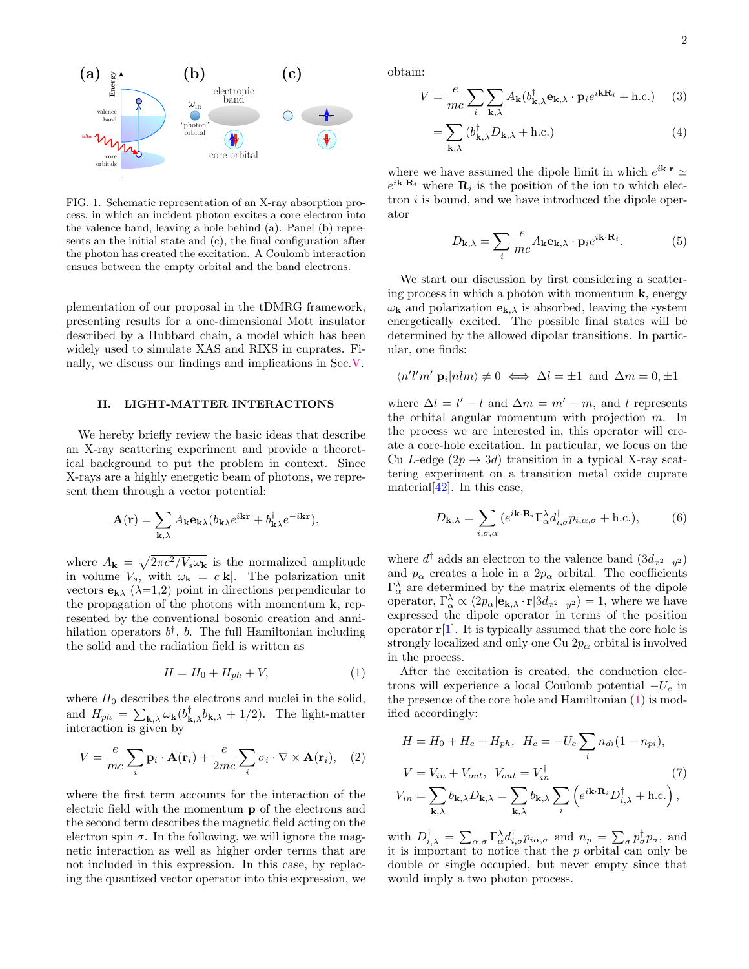

<span id="page-1-2"></span>FIG. 1. Schematic representation of an X-ray absorption process, in which an incident photon excites a core electron into the valence band, leaving a hole behind (a). Panel (b) represents an the initial state and (c), the final configuration after the photon has created the excitation. A Coulomb interaction ensues between the empty orbital and the band electrons.

plementation of our proposal in the tDMRG framework, presenting results for a one-dimensional Mott insulator described by a Hubbard chain, a model which has been widely used to simulate XAS and RIXS in cuprates. Finally, we discuss our findings and implications in Sec[.V.](#page-7-0)

## <span id="page-1-0"></span>II. LIGHT-MATTER INTERACTIONS

We hereby briefly review the basic ideas that describe an X-ray scattering experiment and provide a theoretical background to put the problem in context. Since X-rays are a highly energetic beam of photons, we represent them through a vector potential:

$$
\mathbf{A}(\mathbf{r}) = \sum_{\mathbf{k},\lambda} A_{\mathbf{k}} \mathbf{e}_{\mathbf{k}\lambda} (b_{\mathbf{k}\lambda} e^{i \mathbf{k} \mathbf{r}} + b_{\mathbf{k}\lambda}^{\dagger} e^{-i \mathbf{k} \mathbf{r}}),
$$

where  $A_{\mathbf{k}} = \sqrt{2\pi c^2/V_s\omega_{\mathbf{k}}}$  is the normalized amplitude in volume  $V_s$ , with  $\omega_{\mathbf{k}} = c|\mathbf{k}|$ . The polarization unit vectors  $\mathbf{e}_{k\lambda}$  ( $\lambda=1,2$ ) point in directions perpendicular to the propagation of the photons with momentum  $\bf{k}$ , represented by the conventional bosonic creation and annihilation operators  $b^{\dagger}$ , b. The full Hamiltonian including the solid and the radiation field is written as

<span id="page-1-1"></span>
$$
H = H_0 + H_{ph} + V,\t\t(1)
$$

where  $H_0$  describes the electrons and nuclei in the solid, and  $H_{ph} = \sum_{\mathbf{k},\lambda} \omega_{\mathbf{k}} (b_{\mathbf{k},\lambda}^{\dagger} b_{\mathbf{k},\lambda} + 1/2)$ . The light-matter interaction is given by

$$
V = \frac{e}{mc} \sum_{i} \mathbf{p}_i \cdot \mathbf{A}(\mathbf{r}_i) + \frac{e}{2mc} \sum_{i} \sigma_i \cdot \nabla \times \mathbf{A}(\mathbf{r}_i), \quad (2)
$$

where the first term accounts for the interaction of the electric field with the momentum p of the electrons and the second term describes the magnetic field acting on the electron spin  $\sigma$ . In the following, we will ignore the magnetic interaction as well as higher order terms that are not included in this expression. In this case, by replacing the quantized vector operator into this expression, we

obtain:

$$
V = \frac{e}{mc} \sum_{i} \sum_{\mathbf{k},\lambda} A_{\mathbf{k}} (b_{\mathbf{k},\lambda}^{\dagger} \mathbf{e}_{\mathbf{k},\lambda} \cdot \mathbf{p}_{i} e^{i\mathbf{k}\mathbf{R}_{i}} + \text{h.c.}) \tag{3}
$$

$$
= \sum_{\mathbf{k},\lambda} (b_{\mathbf{k},\lambda}^{\dagger} D_{\mathbf{k},\lambda} + \text{h.c.})
$$
 (4)

where we have assumed the dipole limit in which  $e^{i\mathbf{k}\cdot\mathbf{r}} \simeq$  $e^{i\mathbf{k}\cdot\mathbf{R}_i}$  where  $\mathbf{R}_i$  is the position of the ion to which electron  $i$  is bound, and we have introduced the dipole operator

$$
D_{\mathbf{k},\lambda} = \sum_{i} \frac{e}{mc} A_{\mathbf{k}} \mathbf{e}_{\mathbf{k},\lambda} \cdot \mathbf{p}_{i} e^{i\mathbf{k} \cdot \mathbf{R}_{i}}.
$$
 (5)

We start our discussion by first considering a scattering process in which a photon with momentum  $\bf{k}$ , energy  $\omega_{\mathbf{k}}$  and polarization  $\mathbf{e}_{\mathbf{k},\lambda}$  is absorbed, leaving the system energetically excited. The possible final states will be determined by the allowed dipolar transitions. In particular, one finds:

$$
\langle n'l'm'|p_i|nlm\rangle \neq 0 \iff \Delta l = \pm 1
$$
 and  $\Delta m = 0, \pm 1$ 

where  $\Delta l = l' - l$  and  $\Delta m = m' - m$ , and l represents the orbital angular momentum with projection  $m$ . In the process we are interested in, this operator will create a core-hole excitation. In particular, we focus on the Cu L-edge  $(2p \rightarrow 3d)$  transition in a typical X-ray scattering experiment on a transition metal oxide cuprate material $[42]$ . In this case,

$$
D_{\mathbf{k},\lambda} = \sum_{i,\sigma,\alpha} \left( e^{i\mathbf{k}\cdot\mathbf{R}_i} \Gamma_\alpha^\lambda d_{i,\sigma}^\dagger p_{i,\alpha,\sigma} + \text{h.c.} \right),\tag{6}
$$

where  $d^{\dagger}$  adds an electron to the valence band  $(3d_{x^2-y^2})$ and  $p_{\alpha}$  creates a hole in a  $2p_{\alpha}$  orbital. The coefficients  $\Gamma_{\alpha}^{\lambda}$  are determined by the matrix elements of the dipole operator,  $\Gamma_{\alpha}^{\lambda} \propto \langle 2p_{\alpha} | \mathbf{e}_{\mathbf{k},\lambda} \cdot \mathbf{r} | 3d_{x^2-y^2} \rangle = 1$ , where we have expressed the dipole operator in terms of the position operator  $r[1]$  $r[1]$ . It is typically assumed that the core hole is strongly localized and only one Cu  $2p_{\alpha}$  orbital is involved in the process.

After the excitation is created, the conduction electrons will experience a local Coulomb potential  $-U_c$  in the presence of the core hole and Hamiltonian [\(1\)](#page-1-1) is modified accordingly:

$$
H = H_0 + H_c + H_{ph}, \quad H_c = -U_c \sum_i n_{di} (1 - n_{pi}),
$$
  
\n
$$
V = V_{in} + V_{out}, \quad V_{out} = V_{in}^{\dagger}
$$
  
\n
$$
V_{in} = \sum_{\mathbf{k},\lambda} b_{\mathbf{k},\lambda} D_{\mathbf{k},\lambda} = \sum_{\mathbf{k},\lambda} b_{\mathbf{k},\lambda} \sum_i \left( e^{i\mathbf{k} \cdot \mathbf{R}_i} D_{i,\lambda}^{\dagger} + \text{h.c.} \right),
$$
 (7)

with  $D^{\dagger}_{i,\lambda} = \sum_{\alpha,\sigma} \Gamma^{\lambda}_{\alpha} d^{\dagger}_{i,\sigma} p_{i\alpha,\sigma}$  and  $n_p = \sum_{\sigma} p^{\dagger}_{\sigma} p_{\sigma}$ , and it is important to notice that the  $p$  orbital can only be double or single occupied, but never empty since that would imply a two photon process.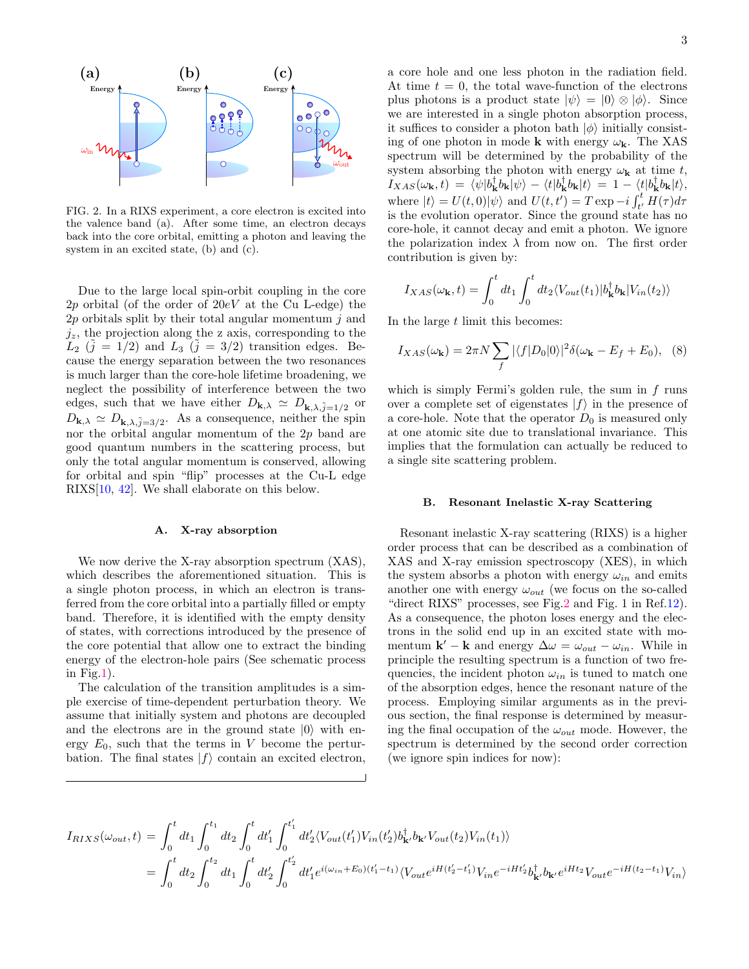

<span id="page-2-2"></span>FIG. 2. In a RIXS experiment, a core electron is excited into the valence band (a). After some time, an electron decays back into the core orbital, emitting a photon and leaving the system in an excited state, (b) and (c).

Due to the large local spin-orbit coupling in the core 2p orbital (of the order of  $20eV$  at the Cu L-edge) the 2p orbitals split by their total angular momentum  $j$  and  $j_z$ , the projection along the z axis, corresponding to the  $L_2$   $(j = 1/2)$  and  $L_3$   $(j = 3/2)$  transition edges. Because the energy separation between the two resonances is much larger than the core-hole lifetime broadening, we neglect the possibility of interference between the two edges, such that we have either  $D_{\mathbf{k},\lambda} \simeq D_{\mathbf{k},\lambda,\tilde{j}=1/2}$  or  $D_{\mathbf{k},\lambda} \simeq D_{\mathbf{k},\lambda,\tilde{j}=3/2}$ . As a consequence, neither the spin nor the orbital angular momentum of the  $2p$  band are good quantum numbers in the scattering process, but only the total angular momentum is conserved, allowing for orbital and spin "flip" processes at the Cu-L edge RIXS[\[10,](#page-8-6) [42\]](#page-9-6). We shall elaborate on this below.

# <span id="page-2-0"></span>A. X-ray absorption

We now derive the X-ray absorption spectrum (XAS), which describes the aforementioned situation. This is a single photon process, in which an electron is transferred from the core orbital into a partially filled or empty band. Therefore, it is identified with the empty density of states, with corrections introduced by the presence of the core potential that allow one to extract the binding energy of the electron-hole pairs (See schematic process in Fig.  $1$ ).

The calculation of the transition amplitudes is a simple exercise of time-dependent perturbation theory. We assume that initially system and photons are decoupled and the electrons are in the ground state  $|0\rangle$  with energy  $E_0$ , such that the terms in V become the perturbation. The final states  $|f\rangle$  contain an excited electron,

a core hole and one less photon in the radiation field. At time  $t = 0$ , the total wave-function of the electrons plus photons is a product state  $|\psi\rangle = |0\rangle \otimes |\phi\rangle$ . Since we are interested in a single photon absorption process, it suffices to consider a photon bath  $|\phi\rangle$  initially consisting of one photon in mode k with energy  $\omega_{\mathbf{k}}$ . The XAS spectrum will be determined by the probability of the system absorbing the photon with energy  $\omega_{\mathbf{k}}$  at time t,  $I_{XAS}(\omega_{\mathbf{k}},t) = \langle \psi | b_{\mathbf{k}}^{\dagger} b_{\mathbf{k}} | \psi \rangle - \langle t | b_{\mathbf{k}}^{\dagger} b_{\mathbf{k}} | t \rangle = 1 - \langle t | b_{\mathbf{k}}^{\dagger} b_{\mathbf{k}} | t \rangle,$ where  $|t\rangle = U(t,0)|\psi\rangle$  and  $U(t,t') = T \exp{-i \int_{t'}^t H(\tau) d\tau}$ is the evolution operator. Since the ground state has no core-hole, it cannot decay and emit a photon. We ignore the polarization index  $\lambda$  from now on. The first order contribution is given by:

<span id="page-2-4"></span>
$$
I_{XAS}(\omega_{\mathbf{k}},t) = \int_0^t dt_1 \int_0^t dt_2 \langle V_{out}(t_1) | b_{\mathbf{k}}^\dagger b_{\mathbf{k}} | V_{in}(t_2) \rangle
$$

In the large  $t$  limit this becomes:

$$
I_{XAS}(\omega_{\mathbf{k}}) = 2\pi N \sum_{f} |\langle f|D_0|0\rangle|^2 \delta(\omega_{\mathbf{k}} - E_f + E_0), \quad (8)
$$

which is simply Fermi's golden rule, the sum in  $f$  runs over a complete set of eigenstates  $|f\rangle$  in the presence of a core-hole. Note that the operator  $D_0$  is measured only at one atomic site due to translational invariance. This implies that the formulation can actually be reduced to a single site scattering problem.

## <span id="page-2-1"></span>B. Resonant Inelastic X-ray Scattering

Resonant inelastic X-ray scattering (RIXS) is a higher order process that can be described as a combination of XAS and X-ray emission spectroscopy (XES), in which the system absorbs a photon with energy  $\omega_{in}$  and emits another one with energy  $\omega_{out}$  (we focus on the so-called "direct RIXS" processes, see Fig[.2](#page-2-2) and Fig. 1 in Ref[.12\)](#page-8-15). As a consequence, the photon loses energy and the electrons in the solid end up in an excited state with momentum  $\mathbf{k}' - \mathbf{k}$  and energy  $\Delta \omega = \omega_{out} - \omega_{in}$ . While in principle the resulting spectrum is a function of two frequencies, the incident photon  $\omega_{in}$  is tuned to match one of the absorption edges, hence the resonant nature of the process. Employing similar arguments as in the previous section, the final response is determined by measuring the final occupation of the  $\omega_{out}$  mode. However, the spectrum is determined by the second order correction (we ignore spin indices for now):

<span id="page-2-3"></span>
$$
I_{RIXS}(\omega_{out}, t) = \int_0^t dt_1 \int_0^{t_1} dt_2 \int_0^t dt'_1 \int_0^{t'_1} dt'_2 \langle V_{out}(t'_1) V_{in}(t'_2) b_{\mathbf{k'}}^{\dagger} b_{\mathbf{k'}} V_{out}(t_2) V_{in}(t_1) \rangle
$$
  
= 
$$
\int_0^t dt_2 \int_0^{t_2} dt_1 \int_0^{t_2} dt'_2 \int_0^{t'_2} dt'_1 e^{i(\omega_{in} + E_0)(t'_1 - t_1)} \langle V_{out} e^{iH(t'_2 - t'_1)} V_{in} e^{-iHt'_2} b_{\mathbf{k'}}^{\dagger} b_{\mathbf{k'}} e^{iHt_2} V_{out} e^{-iH(t_2 - t_1)} V_{in} \rangle
$$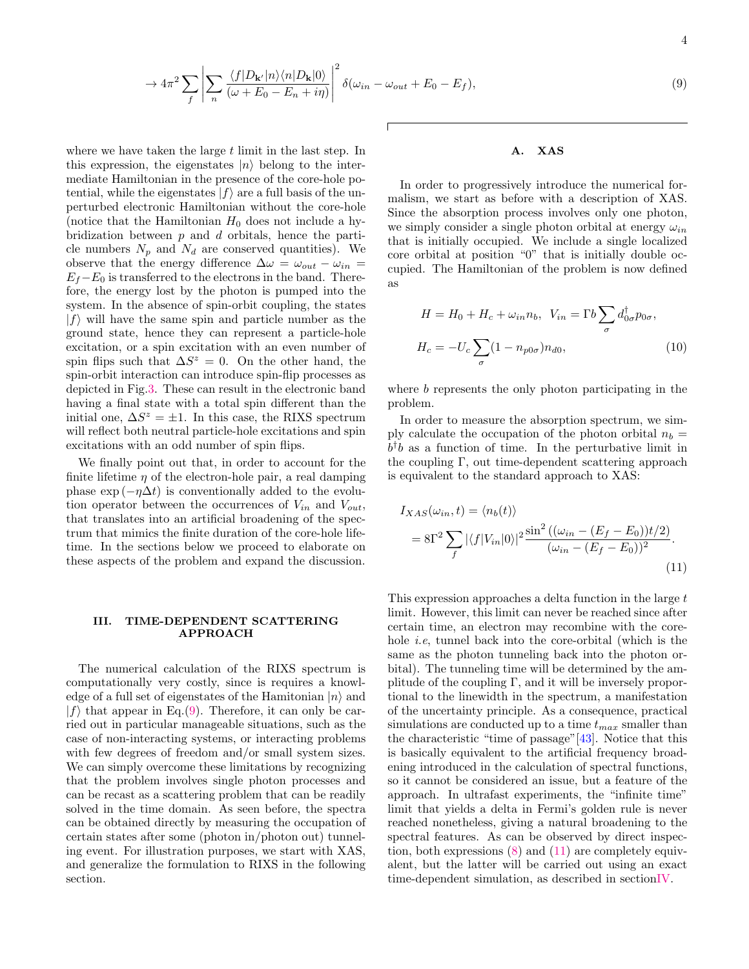$$
\to 4\pi^2 \sum_{f} \left| \sum_{n} \frac{\langle f | D_{\mathbf{k'}} | n \rangle \langle n | D_{\mathbf{k}} | 0 \rangle}{\langle \omega + E_0 - E_n + i\eta \rangle} \right|^2 \delta(\omega_{in} - \omega_{out} + E_0 - E_f), \tag{9}
$$

where we have taken the large t limit in the last step. In this expression, the eigenstates  $|n\rangle$  belong to the intermediate Hamiltonian in the presence of the core-hole potential, while the eigenstates  $|f\rangle$  are a full basis of the unperturbed electronic Hamiltonian without the core-hole (notice that the Hamiltonian  $H_0$  does not include a hybridization between  $p$  and  $d$  orbitals, hence the particle numbers  $N_p$  and  $N_d$  are conserved quantities). We observe that the energy difference  $\Delta \omega = \omega_{out} - \omega_{in}$  $E_f-E_0$  is transferred to the electrons in the band. Therefore, the energy lost by the photon is pumped into the system. In the absence of spin-orbit coupling, the states  $|f\rangle$  will have the same spin and particle number as the ground state, hence they can represent a particle-hole excitation, or a spin excitation with an even number of spin flips such that  $\Delta S^z = 0$ . On the other hand, the spin-orbit interaction can introduce spin-flip processes as depicted in Fig[.3.](#page-4-1) These can result in the electronic band having a final state with a total spin different than the initial one,  $\Delta S^z = \pm 1$ . In this case, the RIXS spectrum will reflect both neutral particle-hole excitations and spin excitations with an odd number of spin flips.

We finally point out that, in order to account for the finite lifetime  $\eta$  of the electron-hole pair, a real damping phase  $\exp(-\eta \Delta t)$  is conventionally added to the evolution operator between the occurrences of  $V_{in}$  and  $V_{out}$ , that translates into an artificial broadening of the spectrum that mimics the finite duration of the core-hole lifetime. In the sections below we proceed to elaborate on these aspects of the problem and expand the discussion.

# <span id="page-3-1"></span>III. TIME-DEPENDENT SCATTERING APPROACH

The numerical calculation of the RIXS spectrum is computationally very costly, since is requires a knowledge of a full set of eigenstates of the Hamitonian  $|n\rangle$  and  $|f\rangle$  that appear in Eq.[\(9\)](#page-2-3). Therefore, it can only be carried out in particular manageable situations, such as the case of non-interacting systems, or interacting problems with few degrees of freedom and/or small system sizes. We can simply overcome these limitations by recognizing that the problem involves single photon processes and can be recast as a scattering problem that can be readily solved in the time domain. As seen before, the spectra can be obtained directly by measuring the occupation of certain states after some (photon in/photon out) tunneling event. For illustration purposes, we start with XAS, and generalize the formulation to RIXS in the following section.

### <span id="page-3-0"></span>A. XAS

In order to progressively introduce the numerical formalism, we start as before with a description of XAS. Since the absorption process involves only one photon, we simply consider a single photon orbital at energy  $\omega_{in}$ that is initially occupied. We include a single localized core orbital at position "0" that is initially double occupied. The Hamiltonian of the problem is now defined as

$$
H = H_0 + H_c + \omega_{in} n_b, \quad V_{in} = \Gamma b \sum_{\sigma} d_{0\sigma}^{\dagger} p_{0\sigma},
$$

$$
H_c = -U_c \sum_{\sigma} (1 - n_{p0\sigma}) n_{d0}, \tag{10}
$$

where b represents the only photon participating in the problem.

In order to measure the absorption spectrum, we simply calculate the occupation of the photon orbital  $n_b =$  $b^{\dagger}b$  as a function of time. In the perturbative limit in the coupling Γ, out time-dependent scattering approach is equivalent to the standard approach to XAS:

<span id="page-3-2"></span>
$$
I_{XAS}(\omega_{in}, t) = \langle n_b(t) \rangle
$$
  
= 
$$
8\Gamma^2 \sum_f |\langle f|V_{in}|0\rangle|^2 \frac{\sin^2((\omega_{in} - (E_f - E_0))t/2)}{(\omega_{in} - (E_f - E_0))^2}.
$$
 (11)

This expression approaches a delta function in the large  $t$ limit. However, this limit can never be reached since after certain time, an electron may recombine with the corehole i.e, tunnel back into the core-orbital (which is the same as the photon tunneling back into the photon orbital). The tunneling time will be determined by the amplitude of the coupling  $\Gamma$ , and it will be inversely proportional to the linewidth in the spectrum, a manifestation of the uncertainty principle. As a consequence, practical simulations are conducted up to a time  $t_{max}$  smaller than the characteristic "time of passage"[\[43\]](#page-9-7). Notice that this is basically equivalent to the artificial frequency broadening introduced in the calculation of spectral functions, so it cannot be considered an issue, but a feature of the approach. In ultrafast experiments, the "infinite time" limit that yields a delta in Fermi's golden rule is never reached nonetheless, giving a natural broadening to the spectral features. As can be observed by direct inspection, both expressions  $(8)$  and  $(11)$  are completely equivalent, but the latter will be carried out using an exact time-dependent simulation, as described in sectio[nIV.](#page-5-0)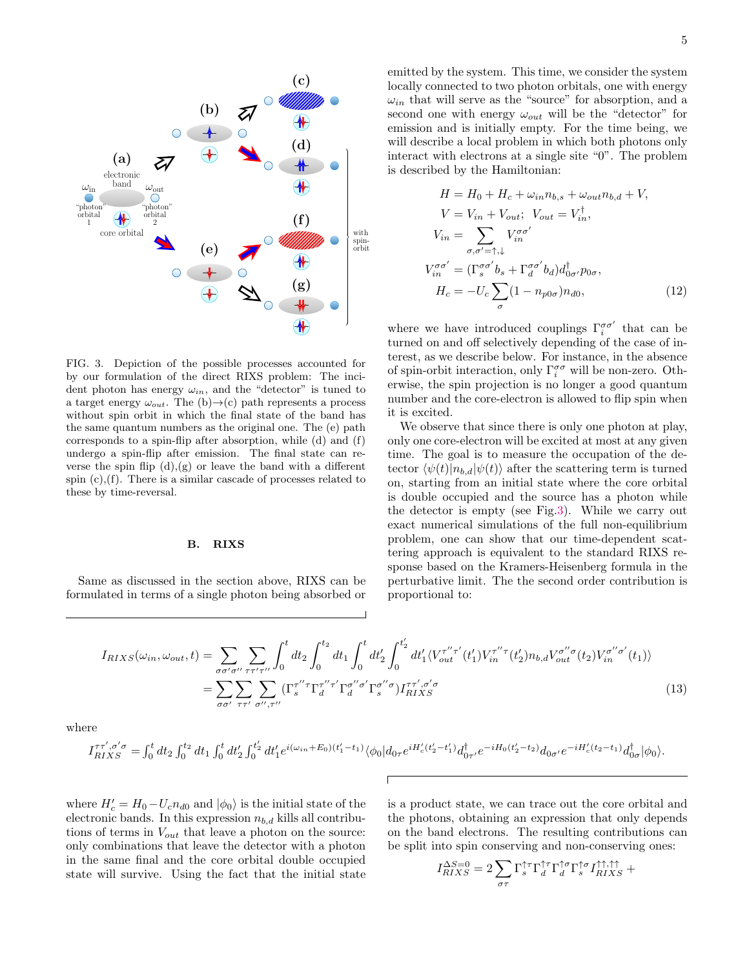

<span id="page-4-1"></span>FIG. 3. Depiction of the possible processes accounted for by our formulation of the direct RIXS problem: The incident photon has energy  $\omega_{in}$ , and the "detector" is tuned to a target energy  $\omega_{out}$ . The (b) $\rightarrow$ (c) path represents a process without spin orbit in which the final state of the band has the same quantum numbers as the original one. The (e) path corresponds to a spin-flip after absorption, while (d) and (f) undergo a spin-flip after emission. The final state can reverse the spin flip  $(d)$ , $(g)$  or leave the band with a different spin (c),(f). There is a similar cascade of processes related to these by time-reversal.

# <span id="page-4-0"></span>B. RIXS

Same as discussed in the section above, RIXS can be formulated in terms of a single photon being absorbed or

emitted by the system. This time, we consider the system locally connected to two photon orbitals, one with energy  $\omega_{in}$  that will serve as the "source" for absorption, and a second one with energy  $\omega_{out}$  will be the "detector" for emission and is initially empty. For the time being, we will describe a local problem in which both photons only interact with electrons at a single site "0". The problem is described by the Hamiltonian:

$$
H = H_0 + H_c + \omega_{in} n_{b,s} + \omega_{out} n_{b,d} + V,
$$
  
\n
$$
V = V_{in} + V_{out}; \quad V_{out} = V_{in}^{\dagger},
$$
  
\n
$$
V_{in} = \sum_{\sigma, \sigma' = \uparrow, \downarrow} V_{in}^{\sigma \sigma'}
$$
  
\n
$$
V_{in}^{\sigma \sigma'} = (\Gamma_{s}^{\sigma \sigma'} b_s + \Gamma_{d}^{\sigma \sigma'} b_d) d_{0\sigma'}^{\dagger} p_{0\sigma},
$$
  
\n
$$
H_c = -U_c \sum_{\sigma} (1 - n_{p0\sigma}) n_{d0},
$$
\n(12)

where we have introduced couplings  $\Gamma_i^{\sigma\sigma'}$  that can be turned on and off selectively depending of the case of interest, as we describe below. For instance, in the absence of spin-orbit interaction, only  $\Gamma_i^{\sigma\sigma}$  will be non-zero. Otherwise, the spin projection is no longer a good quantum number and the core-electron is allowed to flip spin when it is excited.

We observe that since there is only one photon at play, only one core-electron will be excited at most at any given time. The goal is to measure the occupation of the detector  $\langle \psi(t)|n_{b,d}|\psi(t)\rangle$  after the scattering term is turned on, starting from an initial state where the core orbital is double occupied and the source has a photon while the detector is empty (see Fig[.3\)](#page-4-1). While we carry out exact numerical simulations of the full non-equilibrium problem, one can show that our time-dependent scattering approach is equivalent to the standard RIXS response based on the Kramers-Heisenberg formula in the perturbative limit. The the second order contribution is proportional to:

$$
I_{RIXS}(\omega_{in}, \omega_{out}, t) = \sum_{\sigma\sigma'\sigma''} \sum_{\tau\tau'\tau''} \int_0^t dt_2 \int_0^{t_2} dt_1 \int_0^t dt'_2 \int_0^{t'_2} dt'_1 \langle V_{out}^{\tau''\tau'}(t'_1) V_{in}^{\tau''\tau}(t'_2) n_{b,d} V_{out}^{\sigma''\sigma}(t_2) V_{in}^{\sigma''\sigma'}(t_1) \rangle
$$
  
= 
$$
\sum_{\sigma\sigma'} \sum_{\tau\tau'} \sum_{\sigma'',\tau''} (\Gamma_s^{\tau''\tau} \Gamma_d^{\tau''\tau'} \Gamma_d^{\sigma''\sigma'} \Gamma_s^{\sigma''\sigma}) I_{RIXS}^{\tau\tau',\sigma'\sigma}
$$
(13)

where

<span id="page-4-2"></span>
$$
I_{RIXS}^{\tau\tau',\sigma'\sigma}= \int_0^t dt_2 \int_0^{t_2} dt_1 \int_0^t dt_2' \int_0^{t_2'} dt_1' e^{i(\omega_{in}+E_0)(t_1'-t_1)} \langle \phi_0 | d_{0\tau} e^{iH_c'(t_2'-t_1')} d_{0\tau'}^{\dagger} e^{-iH_0(t_2'-t_2)} d_{0\sigma'} e^{-iH_c'(t_2-t_1)} d_{0\sigma}^{\dagger} |\phi_0\rangle.
$$

where  $H'_{c} = H_0 - U_c n_{d0}$  and  $|\phi_0\rangle$  is the initial state of the electronic bands. In this expression  $n_{b,d}$  kills all contributions of terms in  $V_{out}$  that leave a photon on the source: only combinations that leave the detector with a photon in the same final and the core orbital double occupied state will survive. Using the fact that the initial state is a product state, we can trace out the core orbital and the photons, obtaining an expression that only depends on the band electrons. The resulting contributions can be split into spin conserving and non-conserving ones:

$$
I_{RIXS}^{\Delta S=0}=2\sum_{\sigma\tau}\Gamma_{s}^{\uparrow\tau}\Gamma_{d}^{\uparrow\tau}\Gamma_{d}^{\uparrow\sigma}\Gamma_{s}^{\uparrow\sigma}I_{RIXS}^{\uparrow\uparrow,\uparrow\uparrow}+
$$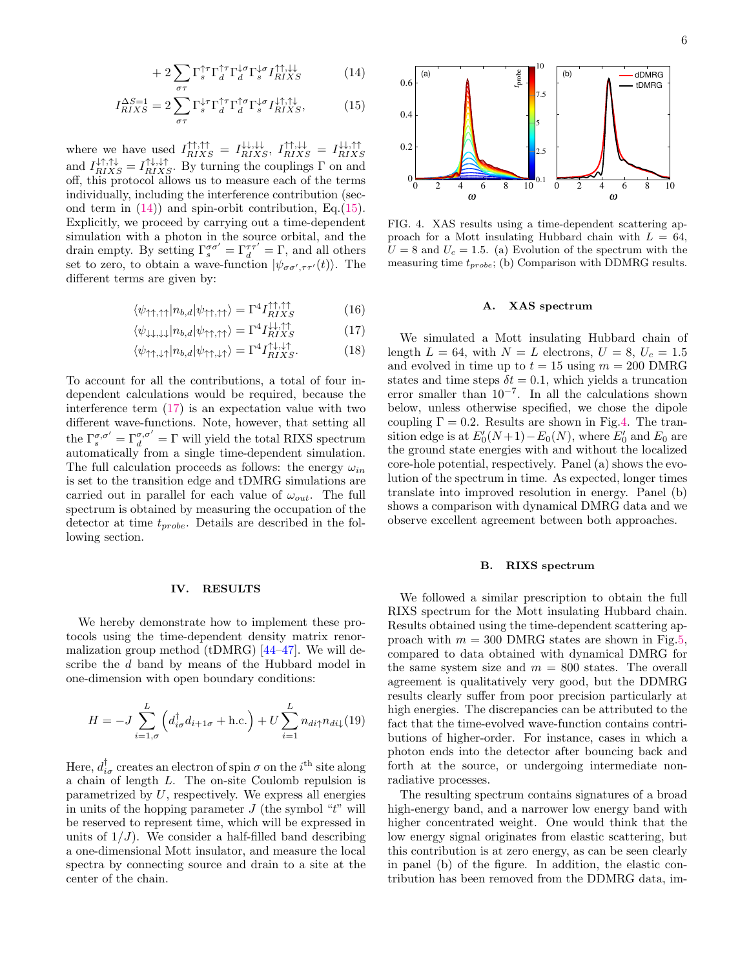$$
+2\sum_{\sigma\tau}\Gamma_{s}^{\uparrow\tau}\Gamma_{d}^{\uparrow\tau}\Gamma_{d}^{\downarrow\sigma}\Gamma_{s}^{\downarrow\sigma}I_{RIXS}^{\uparrow\uparrow,\downarrow\downarrow}
$$
 (14)

$$
I_{RIXS}^{\Delta S=1} = 2 \sum_{\sigma\tau} \Gamma_s^{\downarrow\tau} \Gamma_d^{\uparrow\tau} \Gamma_d^{\uparrow\sigma} \Gamma_s^{\downarrow\sigma} I_{RIXS}^{\downarrow\uparrow,\uparrow\downarrow}, \tag{15}
$$

where we have used  $I_{RIXS}^{\uparrow\uparrow,\uparrow\uparrow} = I_{RIXS}^{\downarrow\downarrow,\downarrow\downarrow}$ ,  $I_{RIXS}^{\uparrow\uparrow,\downarrow\downarrow} = I_{RIXS}^{\downarrow\downarrow,\uparrow\uparrow}$ and  $I_{RIXS}^{\downarrow\uparrow,\uparrow\downarrow} = I_{RIXS}^{\uparrow\downarrow,\downarrow\uparrow}$ . By turning the couplings  $\Gamma$  on and off, this protocol allows us to measure each of the terms individually, including the interference contribution (second term in [\(14\)](#page-4-2)) and spin-orbit contribution, Eq.[\(15\)](#page-4-2). Explicitly, we proceed by carrying out a time-dependent simulation with a photon in the source orbital, and the drain empty. By setting  $\Gamma_{s}^{\sigma\sigma'} = \Gamma_{d}^{\tau\tau'} = \Gamma$ , and all others set to zero, to obtain a wave-function  $|\psi_{\sigma\sigma',\tau\tau'}(t)\rangle$ . The different terms are given by:

<span id="page-5-1"></span>
$$
\langle \psi_{\uparrow\uparrow,\uparrow\uparrow} | n_{b,d} | \psi_{\uparrow\uparrow,\uparrow\uparrow} \rangle = \Gamma^4 I_{RIXS}^{\uparrow\uparrow,\uparrow\uparrow} \tag{16}
$$

$$
\langle \psi_{\downarrow\downarrow,\downarrow\downarrow} | n_{b,d} | \psi_{\uparrow\uparrow,\uparrow\uparrow} \rangle = \Gamma^4 I_{RIXS}^{\downarrow\downarrow,\uparrow\uparrow} \tag{17}
$$

$$
\langle \psi_{\uparrow\uparrow,\downarrow\uparrow} | n_{b,d} | \psi_{\uparrow\uparrow,\downarrow\uparrow} \rangle = \Gamma^4 I_{RIXS}^{\uparrow\downarrow,\downarrow\uparrow}.
$$
 (18)

To account for all the contributions, a total of four independent calculations would be required, because the interference term  $(17)$  is an expectation value with two different wave-functions. Note, however, that setting all the  $\Gamma_s^{\sigma,\sigma'} = \Gamma_d^{\sigma,\sigma'} = \Gamma$  will yield the total RIXS spectrum automatically from a single time-dependent simulation. The full calculation proceeds as follows: the energy  $\omega_{in}$ is set to the transition edge and tDMRG simulations are carried out in parallel for each value of  $\omega_{out}$ . The full spectrum is obtained by measuring the occupation of the detector at time  $t_{probe}$ . Details are described in the following section.

#### <span id="page-5-0"></span>IV. RESULTS

We hereby demonstrate how to implement these protocols using the time-dependent density matrix renormalization group method (tDMRG)  $[44-47]$ . We will describe the d band by means of the Hubbard model in one-dimension with open boundary conditions:

$$
H = -J\sum_{i=1,\sigma}^{L} \left( d_{i\sigma}^{\dagger} d_{i+1\sigma} + \text{h.c.} \right) + U\sum_{i=1}^{L} n_{di\uparrow} n_{di\downarrow}(19)
$$

Here,  $d_{i\sigma}^{\dagger}$  creates an electron of spin  $\sigma$  on the  $i^{\text{th}}$  site along a chain of length L. The on-site Coulomb repulsion is parametrized by  $U$ , respectively. We express all energies in units of the hopping parameter  $J$  (the symbol "t" will be reserved to represent time, which will be expressed in units of  $1/J$ ). We consider a half-filled band describing a one-dimensional Mott insulator, and measure the local spectra by connecting source and drain to a site at the center of the chain.



0.6 (a)

<span id="page-5-2"></span>FIG. 4. XAS results using a time-dependent scattering approach for a Mott insulating Hubbard chain with  $L = 64$ ,  $U = 8$  and  $U_c = 1.5$ . (a) Evolution of the spectrum with the measuring time  $t_{probe}$ ; (b) Comparison with DDMRG results.

#### A. XAS spectrum

We simulated a Mott insulating Hubbard chain of length  $L = 64$ , with  $N = L$  electrons,  $U = 8$ ,  $U_c = 1.5$ and evolved in time up to  $t = 15$  using  $m = 200$  DMRG states and time steps  $\delta t = 0.1$ , which yields a truncation error smaller than  $10^{-7}$ . In all the calculations shown below, unless otherwise specified, we chose the dipole coupling  $\Gamma = 0.2$ . Results are shown in Fig[.4.](#page-5-2) The transition edge is at  $E'_0(N+1) - E_0(N)$ , where  $E'_0$  and  $E_0$  are the ground state energies with and without the localized core-hole potential, respectively. Panel (a) shows the evolution of the spectrum in time. As expected, longer times translate into improved resolution in energy. Panel (b) shows a comparison with dynamical DMRG data and we observe excellent agreement between both approaches.

# B. RIXS spectrum

We followed a similar prescription to obtain the full RIXS spectrum for the Mott insulating Hubbard chain. Results obtained using the time-dependent scattering approach with  $m = 300$  DMRG states are shown in Fig[.5,](#page-6-0) compared to data obtained with dynamical DMRG for the same system size and  $m = 800$  states. The overall agreement is qualitatively very good, but the DDMRG results clearly suffer from poor precision particularly at high energies. The discrepancies can be attributed to the fact that the time-evolved wave-function contains contributions of higher-order. For instance, cases in which a photon ends into the detector after bouncing back and forth at the source, or undergoing intermediate nonradiative processes.

The resulting spectrum contains signatures of a broad high-energy band, and a narrower low energy band with higher concentrated weight. One would think that the low energy signal originates from elastic scattering, but this contribution is at zero energy, as can be seen clearly in panel (b) of the figure. In addition, the elastic contribution has been removed from the DDMRG data, im-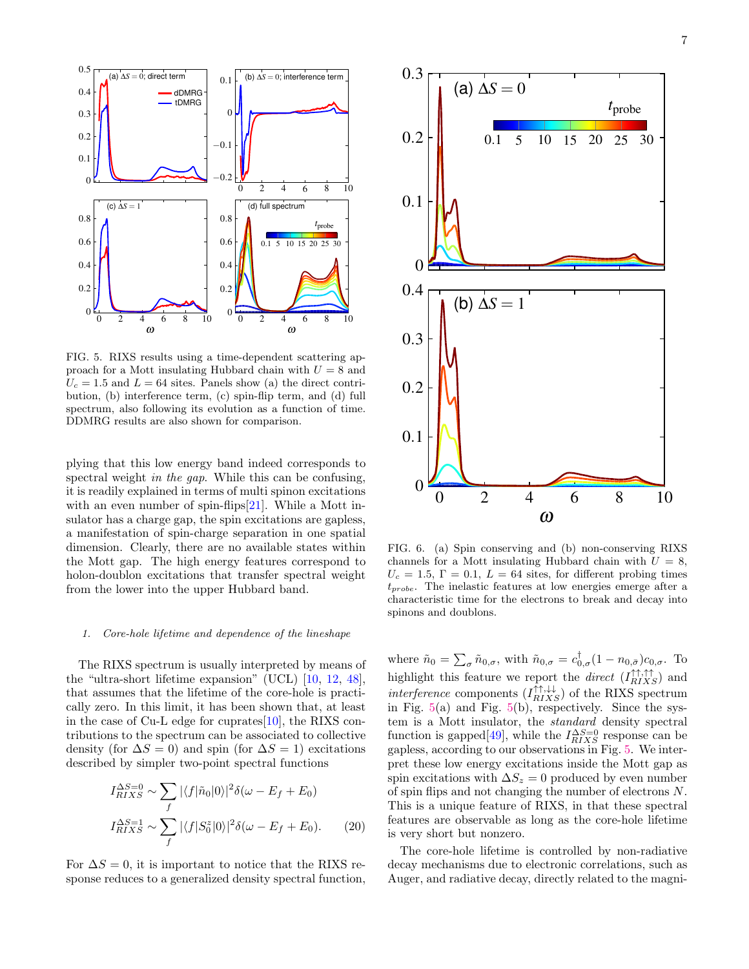

<span id="page-6-0"></span>FIG. 5. RIXS results using a time-dependent scattering approach for a Mott insulating Hubbard chain with  $U = 8$  and  $U_c = 1.5$  and  $L = 64$  sites. Panels show (a) the direct contribution, (b) interference term, (c) spin-flip term, and (d) full spectrum, also following its evolution as a function of time. DDMRG results are also shown for comparison.

plying that this low energy band indeed corresponds to spectral weight *in the gap*. While this can be confusing, it is readily explained in terms of multi spinon excitations with an even number of spin-flips  $[21]$ . While a Mott insulator has a charge gap, the spin excitations are gapless, a manifestation of spin-charge separation in one spatial dimension. Clearly, there are no available states within the Mott gap. The high energy features correspond to holon-doublon excitations that transfer spectral weight from the lower into the upper Hubbard band.

# 1. Core-hole lifetime and dependence of the lineshape

The RIXS spectrum is usually interpreted by means of the "ultra-short lifetime expansion" (UCL) [\[10,](#page-8-6) [12,](#page-8-15) [48\]](#page-9-10), that assumes that the lifetime of the core-hole is practically zero. In this limit, it has been shown that, at least in the case of Cu-L edge for cuprates[\[10\]](#page-8-6), the RIXS contributions to the spectrum can be associated to collective density (for  $\Delta S = 0$ ) and spin (for  $\Delta S = 1$ ) excitations described by simpler two-point spectral functions

$$
I_{RIXS}^{\Delta S=0} \sim \sum_{f} |\langle f|\tilde{n}_0|0\rangle|^2 \delta(\omega - E_f + E_0)
$$
  

$$
I_{RIXS}^{\Delta S=1} \sim \sum_{f} |\langle f|S_0^z|0\rangle|^2 \delta(\omega - E_f + E_0). \tag{20}
$$

For  $\Delta S = 0$ , it is important to notice that the RIXS response reduces to a generalized density spectral function,



<span id="page-6-1"></span>FIG. 6. (a) Spin conserving and (b) non-conserving RIXS channels for a Mott insulating Hubbard chain with  $U = 8$ ,  $U_c = 1.5, \Gamma = 0.1, L = 64$  sites, for different probing times  $t_{probe}$ . The inelastic features at low energies emerge after a characteristic time for the electrons to break and decay into spinons and doublons.

where  $\tilde{n}_0 = \sum_{\sigma} \tilde{n}_{0,\sigma}$ , with  $\tilde{n}_{0,\sigma} = c_{0,\sigma}^{\dagger} (1 - n_{0,\bar{\sigma}}) c_{0,\sigma}$ . To highlight this feature we report the *direct*  $(I_{RIXS}^{\uparrow\uparrow,\uparrow\uparrow} )$  and *interference* components  $(I_{RIXS}^{\uparrow\uparrow,\downarrow\downarrow} )$  of the RIXS spectrum in Fig.  $5(a)$  $5(a)$  and Fig.  $5(b)$ , respectively. Since the system is a Mott insulator, the standard density spectral function is gapped[\[49\]](#page-9-11), while the  $I_{RIXS}^{\Delta S=0}$  response can be gapless, according to our observations in Fig. [5.](#page-6-0) We interpret these low energy excitations inside the Mott gap as spin excitations with  $\Delta S_z = 0$  produced by even number of spin flips and not changing the number of electrons N. This is a unique feature of RIXS, in that these spectral features are observable as long as the core-hole lifetime is very short but nonzero.

The core-hole lifetime is controlled by non-radiative decay mechanisms due to electronic correlations, such as Auger, and radiative decay, directly related to the magni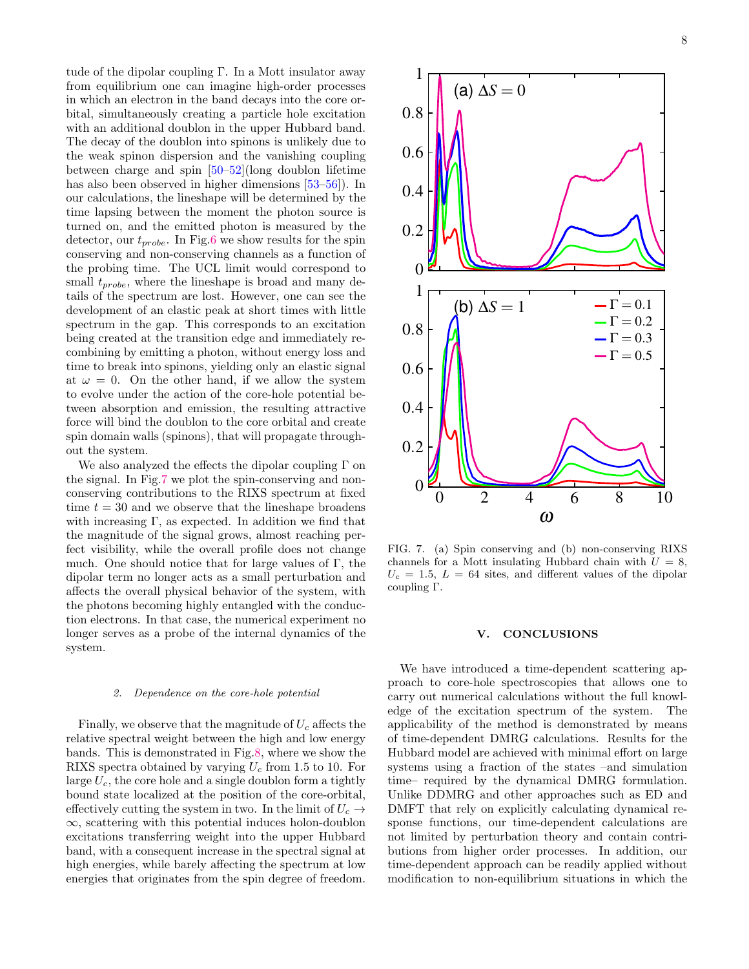tude of the dipolar coupling Γ. In a Mott insulator away from equilibrium one can imagine high-order processes in which an electron in the band decays into the core orbital, simultaneously creating a particle hole excitation with an additional doublon in the upper Hubbard band. The decay of the doublon into spinons is unlikely due to the weak spinon dispersion and the vanishing coupling between charge and spin [\[50–](#page-9-12)[52\]](#page-9-13)(long doublon lifetime has also been observed in higher dimensions [\[53](#page-9-14)[–56\]](#page-9-15)). In our calculations, the lineshape will be determined by the time lapsing between the moment the photon source is turned on, and the emitted photon is measured by the detector, our  $t_{probe}$ . In Fig[.6](#page-6-1) we show results for the spin conserving and non-conserving channels as a function of the probing time. The UCL limit would correspond to small  $t_{probe}$ , where the lineshape is broad and many details of the spectrum are lost. However, one can see the development of an elastic peak at short times with little spectrum in the gap. This corresponds to an excitation being created at the transition edge and immediately recombining by emitting a photon, without energy loss and time to break into spinons, yielding only an elastic signal at  $\omega = 0$ . On the other hand, if we allow the system to evolve under the action of the core-hole potential between absorption and emission, the resulting attractive force will bind the doublon to the core orbital and create spin domain walls (spinons), that will propagate throughout the system.

We also analyzed the effects the dipolar coupling  $\Gamma$  on the signal. In Fig[.7](#page-7-1) we plot the spin-conserving and nonconserving contributions to the RIXS spectrum at fixed time  $t = 30$  and we observe that the lineshape broadens with increasing  $\Gamma$ , as expected. In addition we find that the magnitude of the signal grows, almost reaching perfect visibility, while the overall profile does not change much. One should notice that for large values of Γ, the dipolar term no longer acts as a small perturbation and affects the overall physical behavior of the system, with the photons becoming highly entangled with the conduction electrons. In that case, the numerical experiment no longer serves as a probe of the internal dynamics of the system.

#### 2. Dependence on the core-hole potential

Finally, we observe that the magnitude of  $U_c$  affects the relative spectral weight between the high and low energy bands. This is demonstrated in Fig[.8,](#page-8-16) where we show the RIXS spectra obtained by varying  $U_c$  from 1.5 to 10. For large  $U_c$ , the core hole and a single doublon form a tightly bound state localized at the position of the core-orbital, effectively cutting the system in two. In the limit of  $U_c \rightarrow$  $\infty$ , scattering with this potential induces holon-doublon excitations transferring weight into the upper Hubbard band, with a consequent increase in the spectral signal at high energies, while barely affecting the spectrum at low energies that originates from the spin degree of freedom.



<span id="page-7-1"></span>FIG. 7. (a) Spin conserving and (b) non-conserving RIXS channels for a Mott insulating Hubbard chain with  $U = 8$ ,  $U_c = 1.5, L = 64$  sites, and different values of the dipolar coupling Γ.

## <span id="page-7-0"></span>V. CONCLUSIONS

We have introduced a time-dependent scattering approach to core-hole spectroscopies that allows one to carry out numerical calculations without the full knowledge of the excitation spectrum of the system. The applicability of the method is demonstrated by means of time-dependent DMRG calculations. Results for the Hubbard model are achieved with minimal effort on large systems using a fraction of the states –and simulation time– required by the dynamical DMRG formulation. Unlike DDMRG and other approaches such as ED and DMFT that rely on explicitly calculating dynamical response functions, our time-dependent calculations are not limited by perturbation theory and contain contributions from higher order processes. In addition, our time-dependent approach can be readily applied without modification to non-equilibrium situations in which the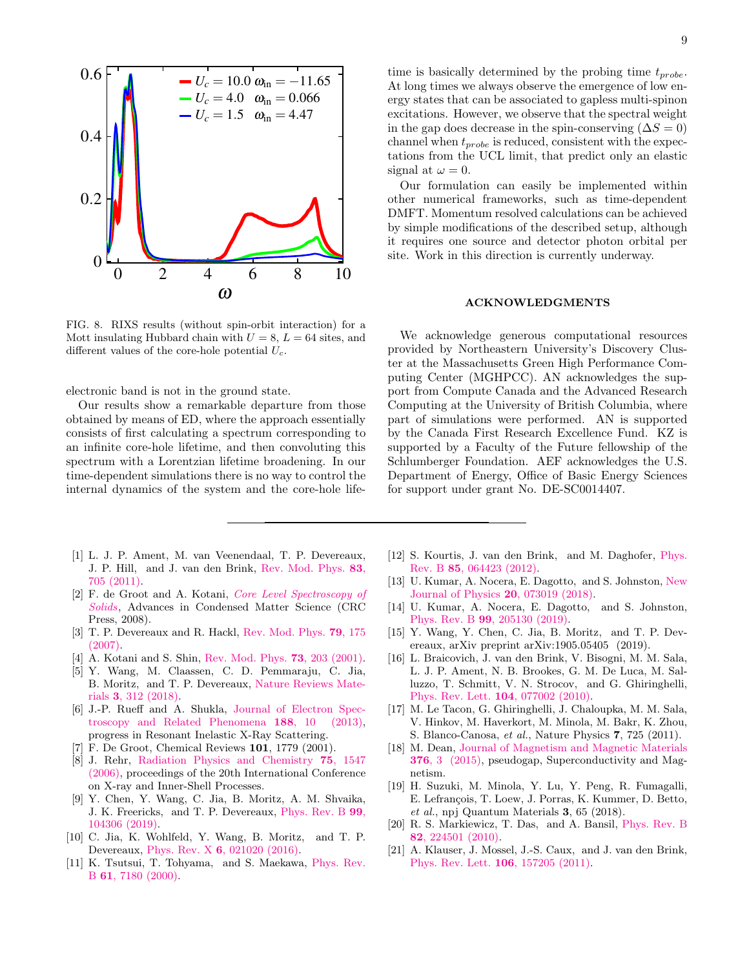

<span id="page-8-16"></span>FIG. 8. RIXS results (without spin-orbit interaction) for a Mott insulating Hubbard chain with  $U = 8$ ,  $L = 64$  sites, and different values of the core-hole potential  $U_c$ .

electronic band is not in the ground state.

Our results show a remarkable departure from those obtained by means of ED, where the approach essentially consists of first calculating a spectrum corresponding to an infinite core-hole lifetime, and then convoluting this spectrum with a Lorentzian lifetime broadening. In our time-dependent simulations there is no way to control the internal dynamics of the system and the core-hole life-

- <span id="page-8-0"></span>[1] L. J. P. Ament, M. van Veenendaal, T. P. Devereaux, J. P. Hill, and J. van den Brink, [Rev. Mod. Phys.](http://dx.doi.org/10.1103/RevModPhys.83.705) 83, [705 \(2011\).](http://dx.doi.org/10.1103/RevModPhys.83.705)
- [2] F. de Groot and A. Kotani, *[Core Level Spectroscopy of](https://books.google.com.br/books?id=HGHzu66i1yoC)* [Solids](https://books.google.com.br/books?id=HGHzu66i1yoC), Advances in Condensed Matter Science (CRC Press, 2008).
- [3] T. P. Devereaux and R. Hackl, [Rev. Mod. Phys.](http://dx.doi.org/10.1103/RevModPhys.79.175) **79**, 175 [\(2007\).](http://dx.doi.org/10.1103/RevModPhys.79.175)
- <span id="page-8-2"></span>[4] A. Kotani and S. Shin, [Rev. Mod. Phys.](http://dx.doi.org/10.1103/RevModPhys.73.203) **73**, 203 (2001).
- <span id="page-8-1"></span>[5] Y. Wang, M. Claassen, C. D. Pemmaraju, C. Jia, B. Moritz, and T. P. Devereaux, [Nature Reviews Mate](http://dx.doi.org/10.1038/s41578-018-0046-3)rials 3[, 312 \(2018\).](http://dx.doi.org/10.1038/s41578-018-0046-3)
- <span id="page-8-3"></span>[6] J.-P. Rueff and A. Shukla, [Journal of Electron Spec](http://dx.doi.org/https://doi.org/10.1016/j.elspec.2013.04.014)[troscopy and Related Phenomena](http://dx.doi.org/https://doi.org/10.1016/j.elspec.2013.04.014) 188, 10 (2013), progress in Resonant Inelastic X-Ray Scattering.
- <span id="page-8-4"></span>[7] F. De Groot, Chemical Reviews 101, 1779 (2001).
- <span id="page-8-13"></span>[8] J. Rehr, [Radiation Physics and Chemistry](http://dx.doi.org/https://doi.org/10.1016/j.radphyschem.2005.11.014) 75, 1547 [\(2006\),](http://dx.doi.org/https://doi.org/10.1016/j.radphyschem.2005.11.014) proceedings of the 20th International Conference on X-ray and Inner-Shell Processes.
- <span id="page-8-5"></span>[9] Y. Chen, Y. Wang, C. Jia, B. Moritz, A. M. Shvaika, J. K. Freericks, and T. P. Devereaux, [Phys. Rev. B](http://dx.doi.org/10.1103/PhysRevB.99.104306) 99, [104306 \(2019\).](http://dx.doi.org/10.1103/PhysRevB.99.104306)
- <span id="page-8-6"></span>[10] C. Jia, K. Wohlfeld, Y. Wang, B. Moritz, and T. P. Devereaux, Phys. Rev. X 6[, 021020 \(2016\).](http://dx.doi.org/ 10.1103/PhysRevX.6.021020)
- <span id="page-8-7"></span>[11] K. Tsutsui, T. Tohyama, and S. Maekawa, [Phys. Rev.](http://dx.doi.org/10.1103/PhysRevB.61.7180) B 61[, 7180 \(2000\).](http://dx.doi.org/10.1103/PhysRevB.61.7180)

time is basically determined by the probing time  $t_{probe}$ . At long times we always observe the emergence of low energy states that can be associated to gapless multi-spinon excitations. However, we observe that the spectral weight in the gap does decrease in the spin-conserving ( $\Delta S = 0$ ) channel when  $t_{probe}$  is reduced, consistent with the expectations from the UCL limit, that predict only an elastic signal at  $\omega = 0$ .

Our formulation can easily be implemented within other numerical frameworks, such as time-dependent DMFT. Momentum resolved calculations can be achieved by simple modifications of the described setup, although it requires one source and detector photon orbital per site. Work in this direction is currently underway.

### ACKNOWLEDGMENTS

We acknowledge generous computational resources provided by Northeastern University's Discovery Cluster at the Massachusetts Green High Performance Computing Center (MGHPCC). AN acknowledges the support from Compute Canada and the Advanced Research Computing at the University of British Columbia, where part of simulations were performed. AN is supported by the Canada First Research Excellence Fund. KZ is supported by a Faculty of the Future fellowship of the Schlumberger Foundation. AEF acknowledges the U.S. Department of Energy, Office of Basic Energy Sciences for support under grant No. DE-SC0014407.

- <span id="page-8-15"></span>[12] S. Kourtis, J. van den Brink, and M. Daghofer, [Phys.](http://dx.doi.org/10.1103/PhysRevB.85.064423) Rev. B 85[, 064423 \(2012\).](http://dx.doi.org/10.1103/PhysRevB.85.064423)
- [13] U. Kumar, A. Nocera, E. Dagotto, and S. Johnston, [New](http://dx.doi.org/10.1088/1367-2630/aad00a) [Journal of Physics](http://dx.doi.org/10.1088/1367-2630/aad00a) 20, 073019 (2018).
- <span id="page-8-14"></span>[14] U. Kumar, A. Nocera, E. Dagotto, and S. Johnston, Phys. Rev. B **99**[, 205130 \(2019\).](http://dx.doi.org/10.1103/PhysRevB.99.205130)
- <span id="page-8-8"></span>[15] Y. Wang, Y. Chen, C. Jia, B. Moritz, and T. P. Devereaux, arXiv preprint arXiv:1905.05405 (2019).
- <span id="page-8-9"></span>[16] L. Braicovich, J. van den Brink, V. Bisogni, M. M. Sala, L. J. P. Ament, N. B. Brookes, G. M. De Luca, M. Salluzzo, T. Schmitt, V. N. Strocov, and G. Ghiringhelli, [Phys. Rev. Lett.](http://dx.doi.org/ 10.1103/PhysRevLett.104.077002) 104, 077002 (2010).
- [17] M. Le Tacon, G. Ghiringhelli, J. Chaloupka, M. M. Sala, V. Hinkov, M. Haverkort, M. Minola, M. Bakr, K. Zhou, S. Blanco-Canosa, et al., Nature Physics 7, 725 (2011).
- [18] M. Dean, [Journal of Magnetism and Magnetic Materials](http://dx.doi.org/https://doi.org/10.1016/j.jmmm.2014.03.057) 376[, 3 \(2015\),](http://dx.doi.org/https://doi.org/10.1016/j.jmmm.2014.03.057) pseudogap, Superconductivity and Magnetism.
- <span id="page-8-10"></span>[19] H. Suzuki, M. Minola, Y. Lu, Y. Peng, R. Fumagalli, E. Lefrançois, T. Loew, J. Porras, K. Kummer, D. Betto, et al., npj Quantum Materials 3, 65 (2018).
- <span id="page-8-11"></span>[20] R. S. Markiewicz, T. Das, and A. Bansil, [Phys. Rev. B](http://dx.doi.org/10.1103/PhysRevB.82.224501) 82[, 224501 \(2010\).](http://dx.doi.org/10.1103/PhysRevB.82.224501)
- <span id="page-8-12"></span>[21] A. Klauser, J. Mossel, J.-S. Caux, and J. van den Brink, [Phys. Rev. Lett.](http://dx.doi.org/10.1103/PhysRevLett.106.157205) 106, 157205 (2011).